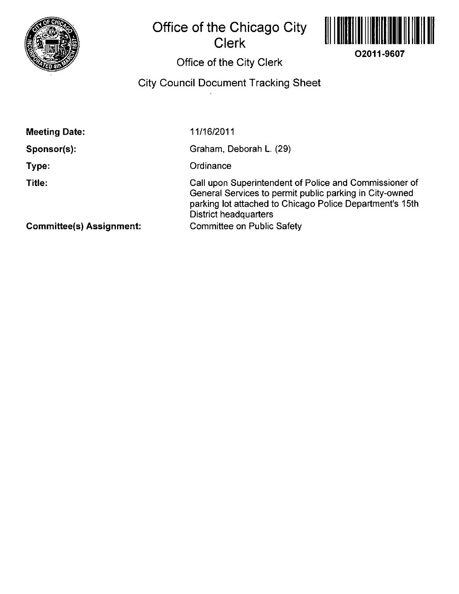

## **Office of the Chicago City Clerk**



## **Office of the City Clerk**

## **City Council Document Tracking Sheet**

**Sponsor(s):** 

**Type:** 

**Title:** 

11/16/2011

Graham, Deborah L. (29)

**Ordinance** 

Call upon Superintendent of Police and Commissioner of General Services to permit public parking in City-owned parking lot attached to Chicago Police Department's 15th District headquarters Committee on Public Safety

**Committee(s) Assignment:**